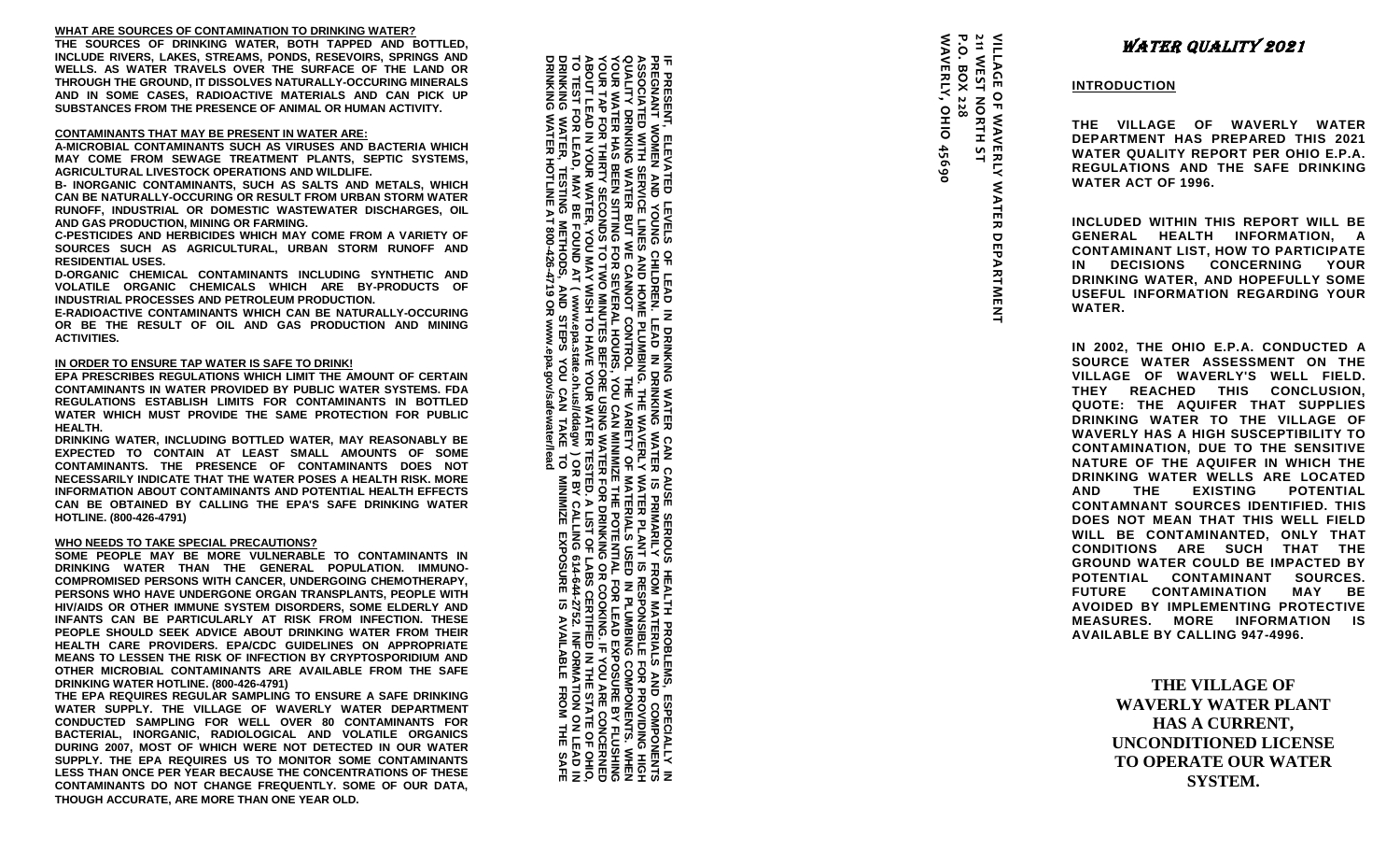## **WHAT ARE SOURCES OF CONTAMINATION TO DRINKING WATER?**

**THE SOURCES OF DRINKING WATER, BOTH TAPPED AND BOTTLED, INCLUDE RIVERS, LAKES, STREAMS, PONDS, RESEVOIRS, SPRINGS AND WELLS. AS WATER TRAVELS OVER THE SURFACE OF THE LAND OR THROUGH THE GROUND, IT DISSOLVES NATURALLY -OCCURING MINERALS AND IN SOME CASES, RADIOACTIVE MATERIALS AND CAN PICK UP SUBSTANCES FROM THE PRESENCE OF ANIMAL OR HUMAN ACTIVITY.**

## **CONTAMINANTS THAT MAY BE PRESENT IN WATER ARE:**

**A-MICROBIAL CONTAMINANTS SUCH AS VIRUSES AND BACTERIA WHICH MAY COME FROM SEWAGE TREATMENT PLANTS, SEPTIC SYSTEMS, AGRICULTURAL LIVESTOCK OPERATIONS AND WILDLIFE.**

**B- INORGANIC CONTAMINANTS, SUCH AS SALTS AND METALS, WHICH CAN BE NATURALLY -OCCURING OR RESULT FROM URBAN STORM WATER RUNOFF, INDUSTRIAL OR DOMESTIC WASTEWATER DISCHARGES, OIL AND GAS PRODUCTION, MINING OR FARMING.**

**C-PESTICIDES AND HERBICIDES WHICH MAY COME FROM A VARIETY OF SOURCES SUCH AS AGRICULTURAL, URBAN STORM RUNOFF AND RESIDENTIAL USES.**

**D-ORGANIC CHEMICAL CONTAMINANTS INCLUDING SYNTHETIC AND VOLATILE ORGANIC CHEMICALS WHICH ARE BY -PRODUCTS OF INDUSTRIAL PROCESSES AND PETROLEUM PRODUCTION.**

**E-RADIOACTIVE CONTAMINANTS WHICH CAN BE NATURALLY -OCCURING OR BE THE RESULT OF OIL AND GAS PRODUCTION AND MINING ACTIVITIES.**

## **IN ORDER TO ENSURE TAP WATER IS SAFE TO DRINK!**

**EPA PRESCRIBES REGULATIONS WHICH LIMIT THE AMOUNT OF CERTAIN CONTAMINANTS IN WATER PROVIDED BY PUBLIC WATER SYSTEMS. FDA REGULATIONS ESTABLISH LIMITS FOR CONTAMINANTS IN BOTTLED WATER WHICH MUST PROVIDE THE SAME PROTECTION FOR PUBLIC HEALTH.**

**DRINKING WATER, INCLUDING BOTTLED WATER, MAY REASONABLY BE EXPECTED TO CONTAIN AT LEAST SMALL AMOUNTS OF SOME CONTAMINANTS. THE PRESENCE OF CONTAMINANTS DOES NOT NECESSARILY INDICATE THAT THE WATER POSES A HEALTH RISK. MORE INFORMATION ABOUT CONTAMINANTS AND POTENTIAL HEALTH EFFECTS CAN BE OBTAINED BY CALLING THE EPA'S SAFE DRINKING WATER HOTLINE. (800 -426 -4791 )**

#### **WHO NEEDS TO TAKE SPECIAL PRECAUTIONS?**

**SOME PEOPLE MAY BE MORE VULNERABLE TO CONTAMINANTS IN DRINKING WATER THAN THE GENERAL POPULATION. IMMUNO - COMPROMISED PERSONS WITH CANCER, UNDERGOING CHEMOTHERAPY, PERSONS WHO HAVE UNDERGONE ORGAN TRANSPLANTS, PEOPLE WITH HIV/AIDS OR OTHER IMMUNE SYSTEM DISORDERS, SOME ELDERLY AND INFANTS CAN BE PARTICULARLY AT RISK FROM INFECTION. THESE PEOPLE SHOULD SEEK ADVICE ABOUT DRINKING WATER FROM THEIR HEALTH CARE PROVIDERS. EPA/CDC GUIDELINES ON APPROPRIATE MEANS TO LESSEN THE RISK OF INFECTION BY CRYPTOSPORIDIUM AND OTHER MICROBIAL CONTAMINANTS ARE AVAILABLE FROM THE SAFE DRINKING WATER HOTLINE. (800 -426 - 4791)**

**THE EPA REQUIRES REGULAR SAMPLING TO ENSURE A SAFE DRINKING WATER SUPPLY. THE VILLAGE OF WAVERLY WATER DEPARTMENT CONDUCTED SAMPLING FOR WELL OVER 80 CONTAMINANTS FOR BACTERIAL, INORGANIC, RADIOLOGICAL AND VOLATILE ORGANICS DURING 2007, MOST OF WHICH WERE NOT DETECTED IN OUR WATER SUPPLY. THE EPA REQUIRES US TO MONITOR SOME CONTAMINANTS LESS THAN ONCE PER YEAR BECAUSE THE CONCENTRATIONS OF THESE CONTAMINANTS DO NOT CHANGE FREQUENTLY. SOME OF OUR DATA, THOUGH ACCURATE, ARE MORE THAN ONE YEAR OLD.**

**ABOUT<br>PORTANY**<br>DRINK **TO TEST FOR LEAD, ABOUT LEAD IN YOUR WATER, YOU MAY WISH TO HAVE YOUR WATER TESTED. A LIST OF LABS CERTIFIED IN THE STATE OF OHIO, YOUR TAP FOR THIRTY SECONDS TO TWO MINUTES BEFORE USING WATER FOR DRINKING OR COOKING. IF YOU ARE CONCERNED YOUR WATER HAS BEEN SITTING FOR SEVERAL HOURS, YOU CAN MINIMIZE THE POTENTIAL FOR LEAD EXP QUALITY DRINKING WATER BUT WE CANNOT CONTROL THE VARIETY OF MATERIALS USED IN PLUMBING COMPONENTS. WHEN ASSOCIATED WITH SERVICE LINES AND HOME PLUMBI DRINKING WATER HOTLINE AT 800 DRINKING WATER, TESTING METHODS, AND STEPS YOU CAN TAKE TO MINIMIZE EXPOSURE IS AVAILABLE FROM THE SAFE PREGNANT WOMEN AND YOUNG CHILDREN. LEAD IN DRINKING WATER IS PRIMARILY FROM MATERIALS AND COMPONENTS IF PRESENT, ELEVATED LEVELS OF LEAD IN DRINKING WATER CAN CAUSE SERIOUS HEALTH PROBLEMS, ESPECIALLY IN**  오늘 :R, TESTIN<br>R HOTLINE .<br>. 8 ≷ ⊞<br>. 9 ₩ **MAY BE FOUND AT ( www.epa.state.oh.us//ddagw** <u>ნ</u> **-426-4719 OR www.epa.gov/safewater/lead** 읐 STEPS **NG. THE WAVERLY WATER PLANT IS RESPONSIBLE FOR PROVIDING HIGH**  屈 **) OR BY CALLING 614-644-2752. INFORMATION ON LEAD IN**  IS RESP<br>IAL FOR<br>IAL FOR<br>LABS CEL<br>LABS CEL<br>LABS CEL **OSURE BY FLUSHING COMPONEN<br>COMPONEN HIS SECTION**<br>ROVIDING HIS<br>ROVIDING HIS<br>ROVIDING HIS SAN<br>E BY FLUSH OF CA<br>ROVIDING THE<br>ROVIDING THE SAN<br>ROVIDING THE SAN **NALLY**<br>PONEN<br>MENO ੋ ਭਾਵੇਂ ਭਾਵੇਂ ਛੋ

| P.O. BOX 228<br>WAVERLY, OHIO 45690 | 211 WEST NORTH ST | <b>VILAGE OF WAVERING MATER DEPARTMENT</b> |  | <u>INTR</u><br>THE<br>DEP<br><b>WAT</b><br><b>REG</b><br>WAT<br><b>INCL</b><br><b>GEN</b><br>CON<br>IN<br><b>DRIN</b><br><b>USEI</b><br><b>WAT</b>                                                                                                                                   |
|-------------------------------------|-------------------|--------------------------------------------|--|--------------------------------------------------------------------------------------------------------------------------------------------------------------------------------------------------------------------------------------------------------------------------------------|
|                                     |                   |                                            |  | IN<br>$\mathbf{2}$<br>SOU<br><b>VILL</b><br>THE <sup>\</sup><br>QUO<br><b>DRIN</b><br>WAV<br><b>CON</b><br><b>NATI</b><br><b>DRIN</b><br><b>AND</b><br><b>CON</b><br><b>DOE</b><br>WILL<br>CON<br><b>GRO</b><br><b>POTI</b><br><b>FUTI</b><br><b>AVO</b><br><b>MEA</b><br><b>AVA</b> |

# WATER QUALITY 2021

# **INTRODUCTION**

**THE VILLAGE OF WAVERLY WATER DEPARTMENT HAS PREPARED THIS 2021 WATER QUALITY REPORT PER OHIO E.P.A. ULATIONS AND THE SAFE DRINKING WATER ACT OF 1996 .**

**INCLUDED WITHIN THIS REPORT WILL BE GENERAL HEALTH INFORMATION, A CONTAMINANT LIST, HOW TO PARTICIPATE IN DECISIONS CONCERNING YOUR DRINKING WATER, AND HOPEFULLY SOME FUL INFORMATION REGARDING YOUR WATER.**

**IN 2002, THE OHIO E.P.A. CONDUCTED A**  RCE WATER ASSESSMENT ON THE **VILLAGE OF WAVERLY'S WELL FIELD.**  Y **REACHED THIS CONCLUSION, TE: THE AQUIFER THAT SUPPLIES DRINKING WATER TO THE VILLAGE OF WAVERLY HAS A HIGH SUSCEPTIBILITY TO CONTAMINATION, DUE TO THE SENSITIVE NATURE OF THE AQUIFER IN WHICH THE DRINKING WATER WELLS ARE LOCATED AND THE EXISTING POTENTIAL CONTAMNANT SOURCES IDENTIFIED. THIS S NOT MEAN THAT THIS WELL FIELD WILL BE CONTAMINANTED, ONLY THAT CONDITION S ARE SUCH THAT THE UND WATER COULD BE IMPACTED BY ENTIAL CONTAMINANT SOURCES. FURE CONTAMINATION MAY BE IDED BY IMPLEMENTING PROTECTIVE** SURES. MORE INFORMATION IS **AVAILABLE BY CALLING 947 -4996.**

> **THE VILLAGE OF WAVERLY WATER PLANT HAS A CURRENT, UNCONDITIONED LICENSE TO OPERATE OUR WATER SYSTEM.**